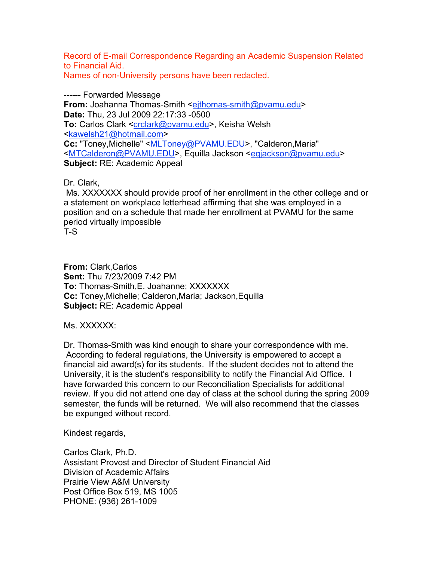Record of E-mail Correspondence Regarding an Academic Suspension Related to Financial Aid. Names of non-University persons have been redacted.

------ Forwarded Message **From:** Joahanna Thomas-Smith <eithomas-smith@pvamu.edu> **Date:** Thu, 23 Jul 2009 22:17:33 -0500 **To:** Carlos Clark <crclark@pvamu.edu>, Keisha Welsh <kawelsh21@hotmail.com> **Cc:** "Toney,Michelle" <MLToney@PVAMU.EDU>, "Calderon,Maria" <MTCalderon@PVAMU.EDU>, Equilla Jackson <eqjackson@pvamu.edu> **Subject:** RE: Academic Appeal

Dr. Clark,

Ms. XXXXXXX should provide proof of her enrollment in the other college and or a statement on workplace letterhead affirming that she was employed in a position and on a schedule that made her enrollment at PVAMU for the same period virtually impossible

T-S

**From:** Clark,Carlos **Sent:** Thu 7/23/2009 7:42 PM **To:** Thomas-Smith,E. Joahanne; XXXXXXX **Cc:** Toney,Michelle; Calderon,Maria; Jackson,Equilla **Subject:** RE: Academic Appeal

Ms. XXXXXX:

Dr. Thomas-Smith was kind enough to share your correspondence with me. According to federal regulations, the University is empowered to accept a financial aid award(s) for its students. If the student decides not to attend the University, it is the student's responsibility to notify the Financial Aid Office. I have forwarded this concern to our Reconciliation Specialists for additional review. If you did not attend one day of class at the school during the spring 2009 semester, the funds will be returned. We will also recommend that the classes be expunged without record.

Kindest regards,

Carlos Clark, Ph.D. Assistant Provost and Director of Student Financial Aid Division of Academic Affairs Prairie View A&M University Post Office Box 519, MS 1005 PHONE: (936) 261-1009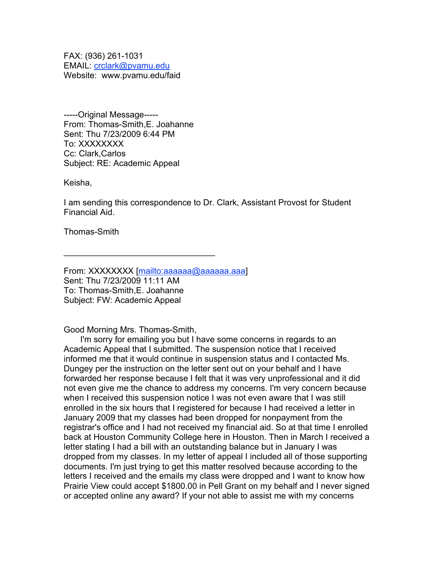FAX: (936) 261-1031 EMAIL: crclark@pvamu.edu Website: www.pvamu.edu/faid

-----Original Message----- From: Thomas-Smith,E. Joahanne Sent: Thu 7/23/2009 6:44 PM To: XXXXXXXX Cc: Clark,Carlos Subject: RE: Academic Appeal

Keisha,

I am sending this correspondence to Dr. Clark, Assistant Provost for Student Financial Aid.

Thomas-Smith

From: XXXXXXXX [mailto:aaaaaaa@aaaaaaa.aaa] Sent: Thu 7/23/2009 11:11 AM To: Thomas-Smith,E. Joahanne Subject: FW: Academic Appeal

 $\mathcal{L}=\{1,2,3,4,5\}$ 

Good Morning Mrs. Thomas-Smith,

 I'm sorry for emailing you but I have some concerns in regards to an Academic Appeal that I submitted. The suspension notice that I received informed me that it would continue in suspension status and I contacted Ms. Dungey per the instruction on the letter sent out on your behalf and I have forwarded her response because I felt that it was very unprofessional and it did not even give me the chance to address my concerns. I'm very concern because when I received this suspension notice I was not even aware that I was still enrolled in the six hours that I registered for because I had received a letter in January 2009 that my classes had been dropped for nonpayment from the registrar's office and I had not received my financial aid. So at that time I enrolled back at Houston Community College here in Houston. Then in March I received a letter stating I had a bill with an outstanding balance but in January I was dropped from my classes. In my letter of appeal I included all of those supporting documents. I'm just trying to get this matter resolved because according to the letters I received and the emails my class were dropped and I want to know how Prairie View could accept \$1800.00 in Pell Grant on my behalf and I never signed or accepted online any award? If your not able to assist me with my concerns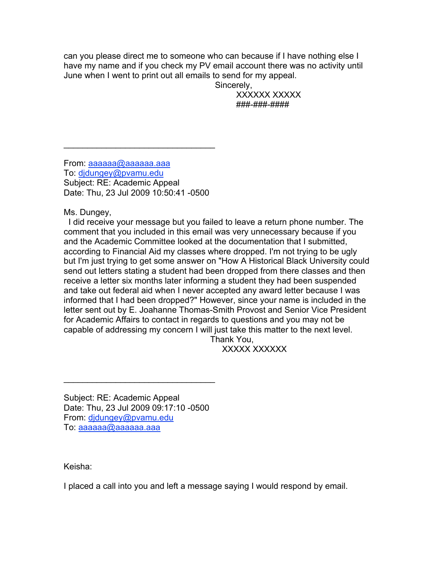can you please direct me to someone who can because if I have nothing else I have my name and if you check my PV email account there was no activity until June when I went to print out all emails to send for my appeal.

Sincerely,

 XXXXXX XXXXX ###-###-####

From: aaaaaa@aaaaaaa.aaa To: djdungey@pvamu.edu Subject: RE: Academic Appeal Date: Thu, 23 Jul 2009 10:50:41 -0500

 $\mathcal{L}=\{1,2,3,4,5\}$ 

Ms. Dungey,

 I did receive your message but you failed to leave a return phone number. The comment that you included in this email was very unnecessary because if you and the Academic Committee looked at the documentation that I submitted, according to Financial Aid my classes where dropped. I'm not trying to be ugly but I'm just trying to get some answer on "How A Historical Black University could send out letters stating a student had been dropped from there classes and then receive a letter six months later informing a student they had been suspended and take out federal aid when I never accepted any award letter because I was informed that I had been dropped?" However, since your name is included in the letter sent out by E. Joahanne Thomas-Smith Provost and Senior Vice President for Academic Affairs to contact in regards to questions and you may not be capable of addressing my concern I will just take this matter to the next level. Thank You,

XXXXX XXXXXX

Subject: RE: Academic Appeal Date: Thu, 23 Jul 2009 09:17:10 -0500 From: djdungey@pvamu.edu To: aaaaaa@aaaaaa.aaa

 $\mathcal{L}_\text{max}$  and  $\mathcal{L}_\text{max}$  and  $\mathcal{L}_\text{max}$  and  $\mathcal{L}_\text{max}$ 

Keisha:

I placed a call into you and left a message saying I would respond by email.